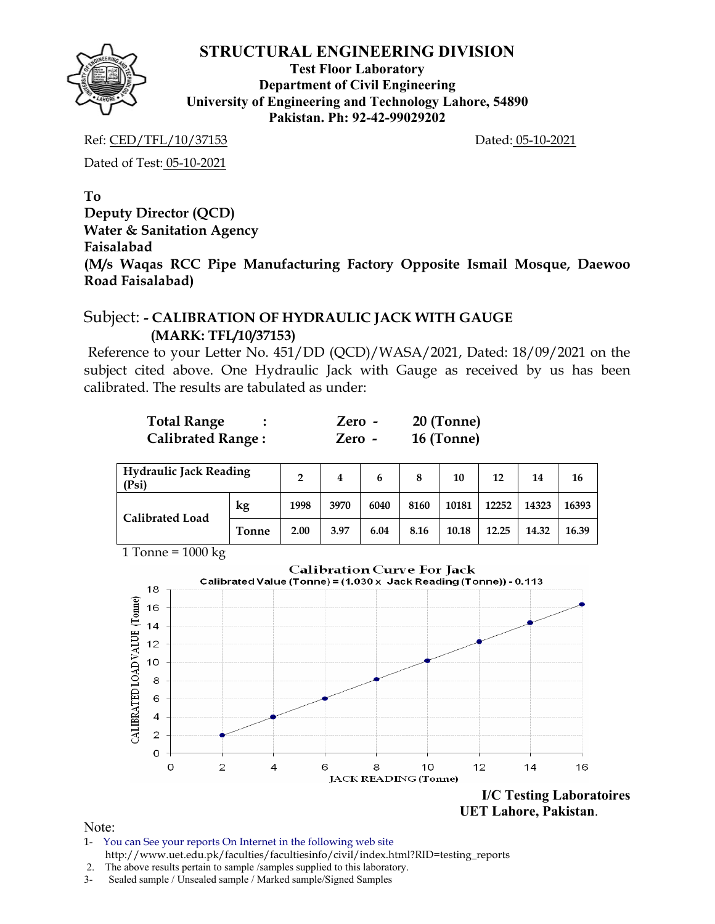

**Test Floor Laboratory Department of Civil Engineering University of Engineering and Technology Lahore, 54890 Pakistan. Ph: 92-42-99029202** 

Ref: CED/TFL/10/37153 Dated: 05-10-2021

Dated of Test: 05-10-2021

**To** 

**Deputy Director (QCD) Water & Sanitation Agency Faisalabad** 

**(M/s Waqas RCC Pipe Manufacturing Factory Opposite Ismail Mosque, Daewoo Road Faisalabad)** 

## Subject: **- CALIBRATION OF HYDRAULIC JACK WITH GAUGE (MARK: TFL/10/37153)**

Reference to your Letter No. 451/DD (QCD)/WASA/2021, Dated: 18/09/2021 on the subject cited above. One Hydraulic Jack with Gauge as received by us has been calibrated. The results are tabulated as under:

| <b>Total Range</b>       | Zero - | $20$ (Tonne) |
|--------------------------|--------|--------------|
| <b>Calibrated Range:</b> | Zero - | 16 (Tonne)   |

| Hydraulic Jack Reading<br>(Psi) |              | າ    | 4    | 6    | 8    | 10    | 12    | 14    | 16    |
|---------------------------------|--------------|------|------|------|------|-------|-------|-------|-------|
| <b>Calibrated Load</b>          | kg           | 1998 | 3970 | 6040 | 8160 | 10181 | 12252 | 14323 | 16393 |
|                                 | <b>Tonne</b> | 2.00 | 3.97 | 6.04 | 8.16 | 10.18 | 12.25 | 14.32 | 16.39 |

1 Tonne =  $1000 \text{ kg}$ 



- 1- You can See your reports On Internet in the following web site http://www.uet.edu.pk/faculties/facultiesinfo/civil/index.html?RID=testing\_reports
- 2. The above results pertain to sample /samples supplied to this laboratory.
- 3- Sealed sample / Unsealed sample / Marked sample/Signed Samples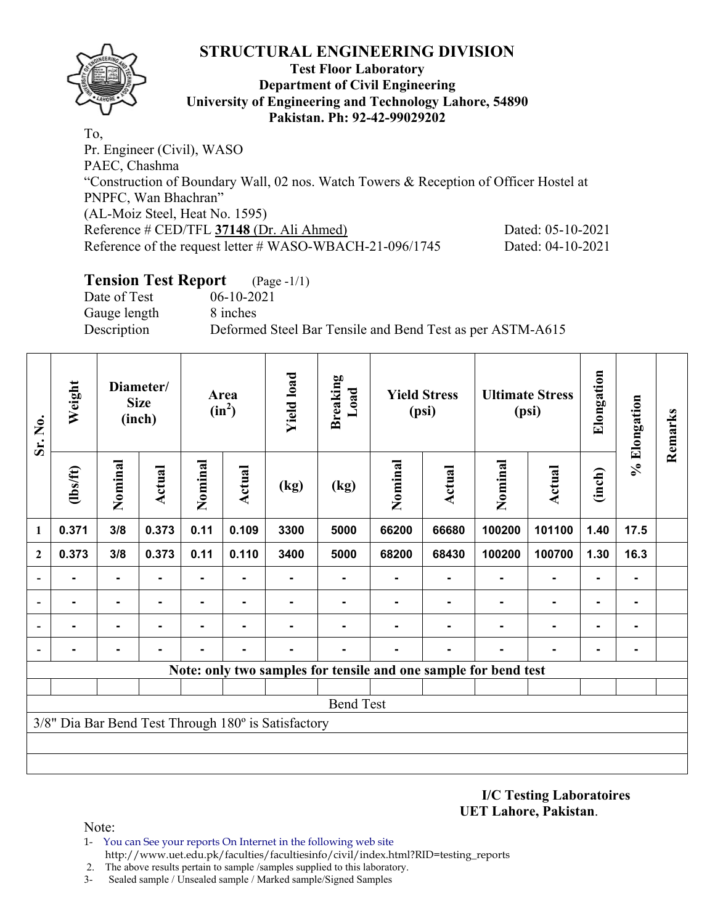## **Test Floor Laboratory Department of Civil Engineering University of Engineering and Technology Lahore, 54890 Pakistan. Ph: 92-42-99029202**

To, Pr. Engineer (Civil), WASO PAEC, Chashma "Construction of Boundary Wall, 02 nos. Watch Towers & Reception of Officer Hostel at PNPFC, Wan Bhachran" (AL-Moiz Steel, Heat No. 1595) Reference # CED/TFL **37148** (Dr. Ali Ahmed) Dated: 05-10-2021 Reference of the request letter # WASO-WBACH-21-096/1745 Dated: 04-10-2021

## **Tension Test Report** (Page -1/1)

Date of Test 06-10-2021 Gauge length 8 inches

Description Deformed Steel Bar Tensile and Bend Test as per ASTM-A615

| Sr. No.<br>$\mathbf{1}$  | Weight         |                | Diameter/<br><b>Size</b><br>(inch) | Area<br>$(in^2)$ |                | <b>Yield load</b>                                   | <b>Breaking</b><br>Load | <b>Yield Stress</b><br>(psi) |               | <b>Ultimate Stress</b><br>(psi)                                 |               | Elongation     | % Elongation | Remarks |
|--------------------------|----------------|----------------|------------------------------------|------------------|----------------|-----------------------------------------------------|-------------------------|------------------------------|---------------|-----------------------------------------------------------------|---------------|----------------|--------------|---------|
|                          | $\frac{2}{10}$ | Nominal        | <b>Actual</b>                      | Nominal          | Actual         | (kg)                                                | (kg)                    | Nominal                      | <b>Actual</b> | Nominal                                                         | <b>Actual</b> | (inch)         |              |         |
|                          | 0.371          | 3/8            | 0.373                              | 0.11             | 0.109          | 3300                                                | 5000                    | 66200                        | 66680         | 100200                                                          | 101100        | 1.40           | 17.5         |         |
| $\mathbf{2}$             | 0.373          | 3/8            | 0.373                              | 0.11             | 0.110          | 3400                                                | 5000                    | 68200                        | 68430         | 100200                                                          | 100700        | 1.30           | 16.3         |         |
| $\blacksquare$           |                | ۰              |                                    |                  |                |                                                     |                         |                              |               |                                                                 |               |                | ۰            |         |
| $\blacksquare$           | ۰              | $\blacksquare$ | $\blacksquare$                     |                  |                |                                                     |                         |                              |               |                                                                 |               | $\blacksquare$ | ۰.           |         |
| $\blacksquare$           | -              | $\blacksquare$ |                                    |                  | ٠              |                                                     |                         |                              |               | $\blacksquare$                                                  |               | $\blacksquare$ | ۰.           |         |
| $\overline{\phantom{0}}$ | ۰              | ۰              |                                    | ۰                | $\blacksquare$ | $\blacksquare$                                      | -                       | ۰                            |               | $\blacksquare$                                                  | ۰             | $\blacksquare$ | ۰            |         |
|                          |                |                |                                    |                  |                |                                                     |                         |                              |               | Note: only two samples for tensile and one sample for bend test |               |                |              |         |
|                          |                |                |                                    |                  |                |                                                     |                         |                              |               |                                                                 |               |                |              |         |
|                          |                |                |                                    |                  |                |                                                     | <b>Bend Test</b>        |                              |               |                                                                 |               |                |              |         |
|                          |                |                |                                    |                  |                | 3/8" Dia Bar Bend Test Through 180° is Satisfactory |                         |                              |               |                                                                 |               |                |              |         |
|                          |                |                |                                    |                  |                |                                                     |                         |                              |               |                                                                 |               |                |              |         |
|                          |                |                |                                    |                  |                |                                                     |                         |                              |               |                                                                 |               |                |              |         |

**I/C Testing Laboratoires UET Lahore, Pakistan**.

- 1- You can See your reports On Internet in the following web site http://www.uet.edu.pk/faculties/facultiesinfo/civil/index.html?RID=testing\_reports
- 2. The above results pertain to sample /samples supplied to this laboratory.
- 3- Sealed sample / Unsealed sample / Marked sample/Signed Samples

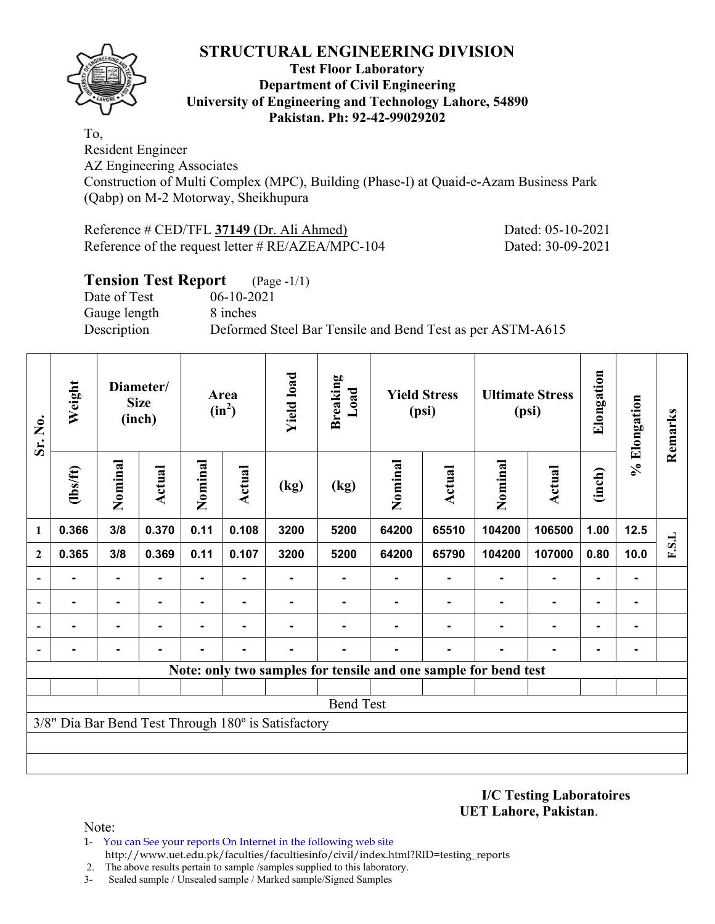

### **Test Floor Laboratory Department of Civil Engineering University of Engineering and Technology Lahore, 54890 Pakistan. Ph: 92-42-99029202**

To,

Resident Engineer AZ Engineering Associates Construction of Multi Complex (MPC), Building (Phase-I) at Quaid-e-Azam Business Park (Qabp) on M-2 Motorway, Sheikhupura

| Reference $\#$ CED/TFL 37149 (Dr. Ali Ahmed)         |
|------------------------------------------------------|
| Reference of the request letter $\# RE/AZEA/MPC-104$ |

Dated: 05-10-2021 Dated: 30-09-2021

| <b>Tension Test Report</b> | $(Page - 1/1)$                                            |
|----------------------------|-----------------------------------------------------------|
| Date of Test               | $06-10-2021$                                              |
| Gauge length               | 8 inches                                                  |
| Description                | Deformed Steel Bar Tensile and Bend Test as per ASTM-A615 |
|                            |                                                           |

| Sr. No.<br>1             | Weight         |                | <b>Size</b>    |                | Diameter/<br>(inch) |                                                     |                  |                |                |                                                                 |                |                | Area<br>$(in^2)$ | <b>Yield load</b> | <b>Breaking</b><br>Load |  | <b>Yield Stress</b><br>(psi) |  | <b>Ultimate Stress</b><br>(psi) | Elongation | % Elongation | Remarks |
|--------------------------|----------------|----------------|----------------|----------------|---------------------|-----------------------------------------------------|------------------|----------------|----------------|-----------------------------------------------------------------|----------------|----------------|------------------|-------------------|-------------------------|--|------------------------------|--|---------------------------------|------------|--------------|---------|
|                          | $\frac{2}{10}$ | Nominal        | Actual         | Nominal        | Actual              | (kg)                                                | (kg)             | Nominal        | Actual         | Nominal                                                         | <b>Actual</b>  | (inch)         |                  |                   |                         |  |                              |  |                                 |            |              |         |
|                          | 0.366          | 3/8            | 0.370          | 0.11           | 0.108               | 3200                                                | 5200             | 64200          | 65510          | 104200                                                          | 106500         | 1.00           | 12.5             |                   |                         |  |                              |  |                                 |            |              |         |
| $\overline{2}$           | 0.365          | 3/8            | 0.369          | 0.11           | 0.107               | 3200                                                | 5200             | 64200          | 65790          | 104200                                                          | 107000         | 0.80           | 10.0             | F.S.L             |                         |  |                              |  |                                 |            |              |         |
|                          | $\blacksquare$ | $\blacksquare$ | $\blacksquare$ | $\blacksquare$ | $\blacksquare$      |                                                     | Ξ.               | $\blacksquare$ | $\blacksquare$ | $\blacksquare$                                                  | $\blacksquare$ | $\blacksquare$ | $\blacksquare$   |                   |                         |  |                              |  |                                 |            |              |         |
|                          |                | $\blacksquare$ |                | $\blacksquare$ | ۰                   |                                                     |                  |                |                |                                                                 | $\blacksquare$ | $\blacksquare$ |                  |                   |                         |  |                              |  |                                 |            |              |         |
|                          |                |                |                |                | $\blacksquare$      |                                                     |                  |                |                |                                                                 | $\blacksquare$ | $\blacksquare$ | ۰                |                   |                         |  |                              |  |                                 |            |              |         |
| $\overline{\phantom{0}}$ |                |                |                |                |                     |                                                     |                  |                |                |                                                                 |                | ۰              | ۰                |                   |                         |  |                              |  |                                 |            |              |         |
|                          |                |                |                |                |                     |                                                     |                  |                |                | Note: only two samples for tensile and one sample for bend test |                |                |                  |                   |                         |  |                              |  |                                 |            |              |         |
|                          |                |                |                |                |                     |                                                     |                  |                |                |                                                                 |                |                |                  |                   |                         |  |                              |  |                                 |            |              |         |
|                          |                |                |                |                |                     |                                                     | <b>Bend Test</b> |                |                |                                                                 |                |                |                  |                   |                         |  |                              |  |                                 |            |              |         |
|                          |                |                |                |                |                     | 3/8" Dia Bar Bend Test Through 180° is Satisfactory |                  |                |                |                                                                 |                |                |                  |                   |                         |  |                              |  |                                 |            |              |         |
|                          |                |                |                |                |                     |                                                     |                  |                |                |                                                                 |                |                |                  |                   |                         |  |                              |  |                                 |            |              |         |
|                          |                |                |                |                |                     |                                                     |                  |                |                |                                                                 |                |                |                  |                   |                         |  |                              |  |                                 |            |              |         |

**I/C Testing Laboratoires UET Lahore, Pakistan**.

- 1- You can See your reports On Internet in the following web site http://www.uet.edu.pk/faculties/facultiesinfo/civil/index.html?RID=testing\_reports
- 2. The above results pertain to sample /samples supplied to this laboratory.
- 3- Sealed sample / Unsealed sample / Marked sample/Signed Samples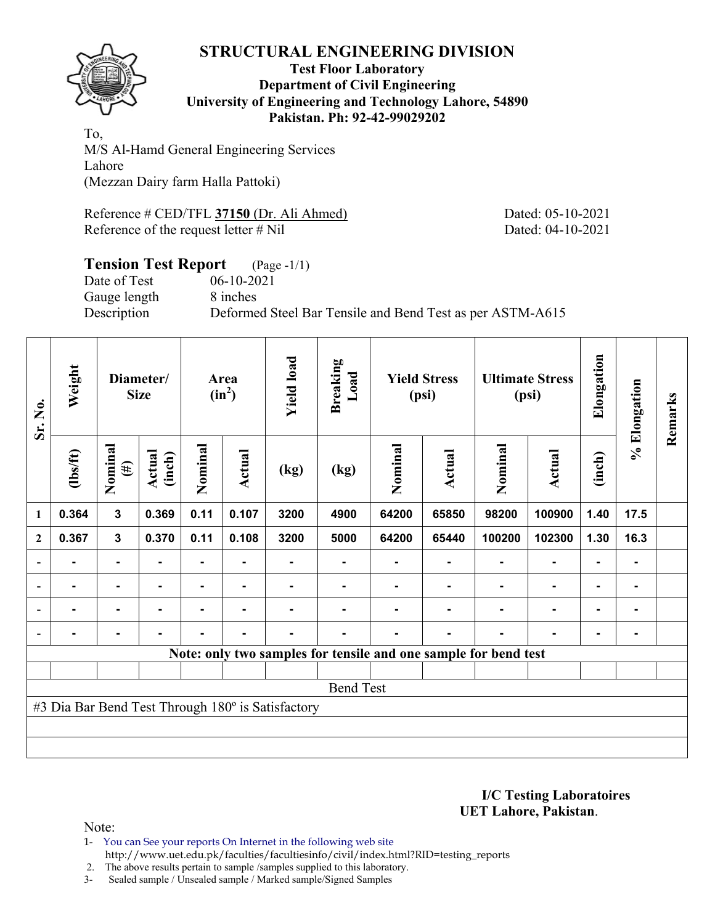

### **Test Floor Laboratory Department of Civil Engineering University of Engineering and Technology Lahore, 54890 Pakistan. Ph: 92-42-99029202**

To, M/S Al-Hamd General Engineering Services Lahore (Mezzan Dairy farm Halla Pattoki)

Reference # CED/TFL **37150** (Dr. Ali Ahmed) Dated: 05-10-2021 Reference of the request letter # Nil Dated: 04-10-2021

# **Tension Test Report** (Page -1/1)

Date of Test 06-10-2021 Gauge length 8 inches

Description Deformed Steel Bar Tensile and Bend Test as per ASTM-A615

| Sr. No.<br>1   | Weight         |                   | Diameter/<br><b>Size</b> | Area<br>$(in^2)$ |        | <b>Yield load</b>                                 | <b>Breaking</b><br>Load                                         | <b>Yield Stress</b><br>(psi) |                | <b>Ultimate Stress</b><br>(psi) |                | Elongation     | % Elongation   | Remarks |  |  |  |  |  |  |  |  |
|----------------|----------------|-------------------|--------------------------|------------------|--------|---------------------------------------------------|-----------------------------------------------------------------|------------------------------|----------------|---------------------------------|----------------|----------------|----------------|---------|--|--|--|--|--|--|--|--|
|                | $\frac{2}{10}$ | Nominal<br>$(\#)$ | Actual<br>(inch)         | Nominal          | Actual | (kg)                                              | (kg)                                                            | Nominal                      | Actual         | Nominal                         | Actual         | (inch)         |                |         |  |  |  |  |  |  |  |  |
|                | 0.364          | $\overline{3}$    | 0.369                    | 0.11             | 0.107  | 3200                                              | 4900                                                            | 64200                        | 65850          | 98200                           | 100900         | 1.40           | 17.5           |         |  |  |  |  |  |  |  |  |
| $\mathbf{2}$   | 0.367          | $\mathbf{3}$      | 0.370                    | 0.11             | 0.108  | 3200                                              | 5000                                                            | 64200                        | 65440          | 100200                          | 102300         | 1.30           | 16.3           |         |  |  |  |  |  |  |  |  |
|                |                | $\blacksquare$    |                          |                  |        |                                                   |                                                                 |                              |                |                                 |                | $\blacksquare$ | ۰              |         |  |  |  |  |  |  |  |  |
| $\overline{a}$ |                | ۰                 |                          |                  |        |                                                   |                                                                 |                              |                |                                 | $\blacksquare$ | ۰              | -              |         |  |  |  |  |  |  |  |  |
| $\blacksquare$ | $\blacksquare$ | ۰                 | -                        |                  |        |                                                   |                                                                 |                              | $\blacksquare$ | $\blacksquare$                  | $\blacksquare$ | ۰              | ۰              |         |  |  |  |  |  |  |  |  |
|                | -              | ۰                 |                          |                  | ٠      | -                                                 |                                                                 |                              | $\blacksquare$ | ۰                               | $\blacksquare$ | ۰              | $\blacksquare$ |         |  |  |  |  |  |  |  |  |
|                |                |                   |                          |                  |        |                                                   | Note: only two samples for tensile and one sample for bend test |                              |                |                                 |                |                |                |         |  |  |  |  |  |  |  |  |
|                |                |                   |                          |                  |        |                                                   |                                                                 |                              |                |                                 |                |                |                |         |  |  |  |  |  |  |  |  |
|                |                |                   |                          |                  |        |                                                   | <b>Bend Test</b>                                                |                              |                |                                 |                |                |                |         |  |  |  |  |  |  |  |  |
|                |                |                   |                          |                  |        | #3 Dia Bar Bend Test Through 180° is Satisfactory |                                                                 |                              |                |                                 |                |                |                |         |  |  |  |  |  |  |  |  |
|                |                |                   |                          |                  |        |                                                   |                                                                 |                              |                |                                 |                |                |                |         |  |  |  |  |  |  |  |  |
|                |                |                   |                          |                  |        |                                                   |                                                                 |                              |                |                                 |                |                |                |         |  |  |  |  |  |  |  |  |

**I/C Testing Laboratoires UET Lahore, Pakistan**.

Note:

1- You can See your reports On Internet in the following web site http://www.uet.edu.pk/faculties/facultiesinfo/civil/index.html?RID=testing\_reports

2. The above results pertain to sample /samples supplied to this laboratory.

3- Sealed sample / Unsealed sample / Marked sample/Signed Samples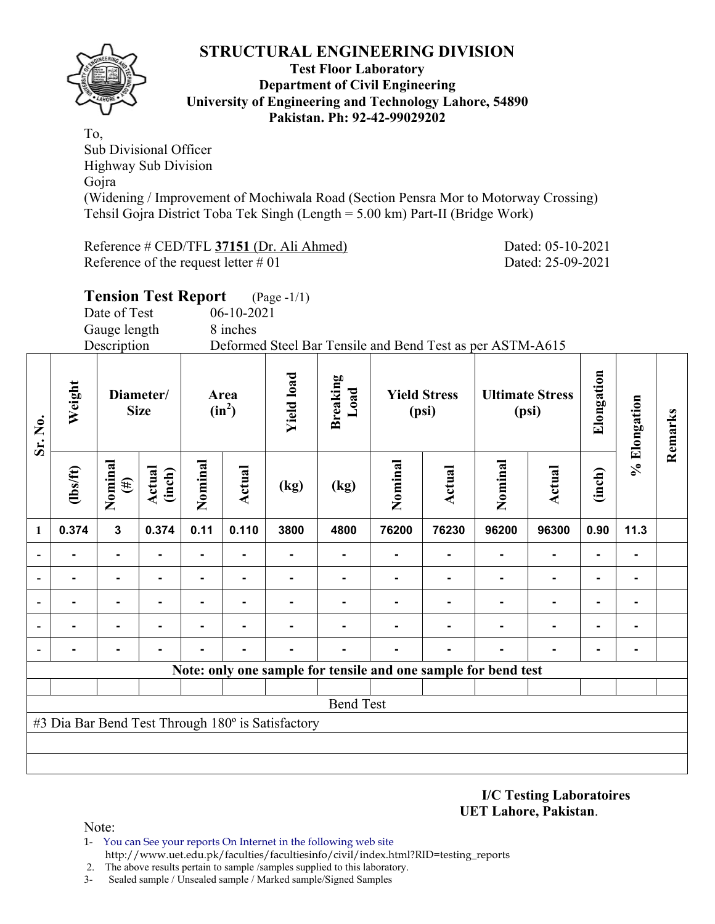

### **Test Floor Laboratory Department of Civil Engineering University of Engineering and Technology Lahore, 54890 Pakistan. Ph: 92-42-99029202**

To, Sub Divisional Officer Highway Sub Division Gojra (Widening / Improvement of Mochiwala Road (Section Pensra Mor to Motorway Crossing) Tehsil Gojra District Toba Tek Singh (Length = 5.00 km) Part-II (Bridge Work)

Reference # CED/TFL **37151** (Dr. Ali Ahmed) Dated: 05-10-2021 Reference of the request letter # 01 Dated: 25-09-2021

|                              | <b>Tension Test Report</b><br>(Page -1/1)<br>Date of Test<br>$06-10-2021$<br>Gauge length<br>8 inches<br>Description<br>Deformed Steel Bar Tensile and Bend Test as per ASTM-A615 |                   |                          |                  |        |                                                   |                         |                              |                                                                |                                 |                |                |              |         |
|------------------------------|-----------------------------------------------------------------------------------------------------------------------------------------------------------------------------------|-------------------|--------------------------|------------------|--------|---------------------------------------------------|-------------------------|------------------------------|----------------------------------------------------------------|---------------------------------|----------------|----------------|--------------|---------|
| Sr. No.                      | Weight                                                                                                                                                                            |                   | Diameter/<br><b>Size</b> | Area<br>$(in^2)$ |        | <b>Yield load</b>                                 | <b>Breaking</b><br>Load | <b>Yield Stress</b><br>(psi) |                                                                | <b>Ultimate Stress</b><br>(psi) |                | Elongation     | % Elongation | Remarks |
|                              | $\frac{2}{10}$                                                                                                                                                                    | Nominal<br>$(\#)$ | Actual<br>(inch)         | Nominal          | Actual | (kg)                                              | (kg)                    | Nominal                      | <b>Actual</b>                                                  |                                 | Actual         | (inch)         |              |         |
| $\mathbf{1}$                 | 0.374                                                                                                                                                                             | $\mathbf{3}$      | 0.374                    | 0.11             | 0.110  | 3800                                              | 4800                    | 76200                        | 76230                                                          | 96200                           | 96300          | 0.90           | 11.3         |         |
| $\qquad \qquad \blacksquare$ |                                                                                                                                                                                   | $\blacksquare$    |                          |                  |        |                                                   |                         |                              |                                                                |                                 |                |                |              |         |
| $\qquad \qquad \blacksquare$ |                                                                                                                                                                                   |                   |                          |                  |        |                                                   |                         |                              |                                                                |                                 |                | $\blacksquare$ |              |         |
|                              |                                                                                                                                                                                   |                   |                          |                  |        |                                                   |                         |                              | ٠                                                              |                                 | $\blacksquare$ | $\blacksquare$ | ۰            |         |
|                              | -                                                                                                                                                                                 | $\blacksquare$    |                          |                  |        | $\blacksquare$                                    |                         |                              | $\blacksquare$                                                 | -                               | $\blacksquare$ |                | ۰            |         |
|                              |                                                                                                                                                                                   |                   |                          |                  |        |                                                   |                         |                              |                                                                |                                 |                |                |              |         |
|                              |                                                                                                                                                                                   |                   |                          |                  |        |                                                   |                         |                              | Note: only one sample for tensile and one sample for bend test |                                 |                |                |              |         |
|                              |                                                                                                                                                                                   |                   |                          |                  |        | #3 Dia Bar Bend Test Through 180° is Satisfactory | <b>Bend Test</b>        |                              |                                                                |                                 |                |                |              |         |
|                              |                                                                                                                                                                                   |                   |                          |                  |        |                                                   |                         |                              |                                                                |                                 |                |                |              |         |

**I/C Testing Laboratoires UET Lahore, Pakistan**.

- 1- You can See your reports On Internet in the following web site http://www.uet.edu.pk/faculties/facultiesinfo/civil/index.html?RID=testing\_reports
- 2. The above results pertain to sample /samples supplied to this laboratory.
- 3- Sealed sample / Unsealed sample / Marked sample/Signed Samples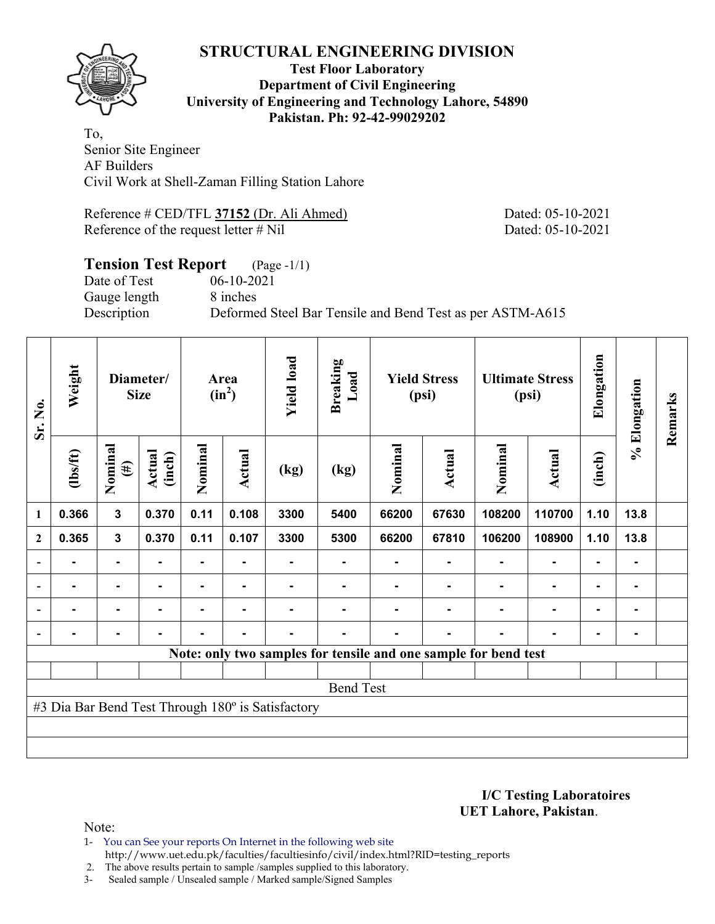

### **Test Floor Laboratory Department of Civil Engineering University of Engineering and Technology Lahore, 54890 Pakistan. Ph: 92-42-99029202**

To, Senior Site Engineer AF Builders Civil Work at Shell-Zaman Filling Station Lahore

Reference # CED/TFL **37152** (Dr. Ali Ahmed) Dated: 05-10-2021 Reference of the request letter # Nil Dated: 05-10-2021

#### **Tension Test Report** (Page -1/1) Date of Test 06-10-2021

Gauge length 8 inches

Description Deformed Steel Bar Tensile and Bend Test as per ASTM-A615

| Sr. No.      | Weight         | Diameter/<br><b>Size</b> |                  | Area<br>$(in^2)$ |                | <b>Yield load</b>                                 | <b>Breaking</b><br>Load | <b>Yield Stress</b><br>(psi) |        | <b>Ultimate Stress</b><br>(psi)                                 |                          | Elongation     | % Elongation | Remarks |
|--------------|----------------|--------------------------|------------------|------------------|----------------|---------------------------------------------------|-------------------------|------------------------------|--------|-----------------------------------------------------------------|--------------------------|----------------|--------------|---------|
| 1            | $\frac{2}{10}$ | Nominal<br>$(\#)$        | Actual<br>(inch) | Nominal          | Actual         | (kg)                                              | (kg)                    | Nominal                      | Actual | Nominal                                                         | Actual                   | (inch)         |              |         |
|              | 0.366          | $\mathbf{3}$             | 0.370            | 0.11             | 0.108          | 3300                                              | 5400                    | 66200                        | 67630  | 108200                                                          | 110700                   | 1.10           | 13.8         |         |
| $\mathbf{2}$ | 0.365          | $\mathbf{3}$             | 0.370            | 0.11             | 0.107          | 3300                                              | 5300                    | 66200                        | 67810  | 106200                                                          | 108900                   | 1.10           | 13.8         |         |
|              |                |                          |                  | $\blacksquare$   |                |                                                   |                         |                              |        |                                                                 | $\blacksquare$           |                |              |         |
|              |                | $\blacksquare$           |                  |                  |                |                                                   |                         |                              |        |                                                                 |                          | $\blacksquare$ |              |         |
|              |                | $\blacksquare$           |                  |                  | $\blacksquare$ |                                                   |                         |                              |        |                                                                 | $\overline{\phantom{0}}$ | $\blacksquare$ |              |         |
|              |                | $\blacksquare$           |                  |                  | $\blacksquare$ |                                                   |                         |                              |        |                                                                 | $\blacksquare$           | $\blacksquare$ |              |         |
|              |                |                          |                  |                  |                |                                                   |                         |                              |        | Note: only two samples for tensile and one sample for bend test |                          |                |              |         |
|              |                |                          |                  |                  |                |                                                   |                         |                              |        |                                                                 |                          |                |              |         |
|              |                |                          |                  |                  |                |                                                   | <b>Bend Test</b>        |                              |        |                                                                 |                          |                |              |         |
|              |                |                          |                  |                  |                | #3 Dia Bar Bend Test Through 180° is Satisfactory |                         |                              |        |                                                                 |                          |                |              |         |
|              |                |                          |                  |                  |                |                                                   |                         |                              |        |                                                                 |                          |                |              |         |
|              |                |                          |                  |                  |                |                                                   |                         |                              |        |                                                                 |                          |                |              |         |

**I/C Testing Laboratoires UET Lahore, Pakistan**.

Note:

1- You can See your reports On Internet in the following web site http://www.uet.edu.pk/faculties/facultiesinfo/civil/index.html?RID=testing\_reports

2. The above results pertain to sample /samples supplied to this laboratory.

3- Sealed sample / Unsealed sample / Marked sample/Signed Samples